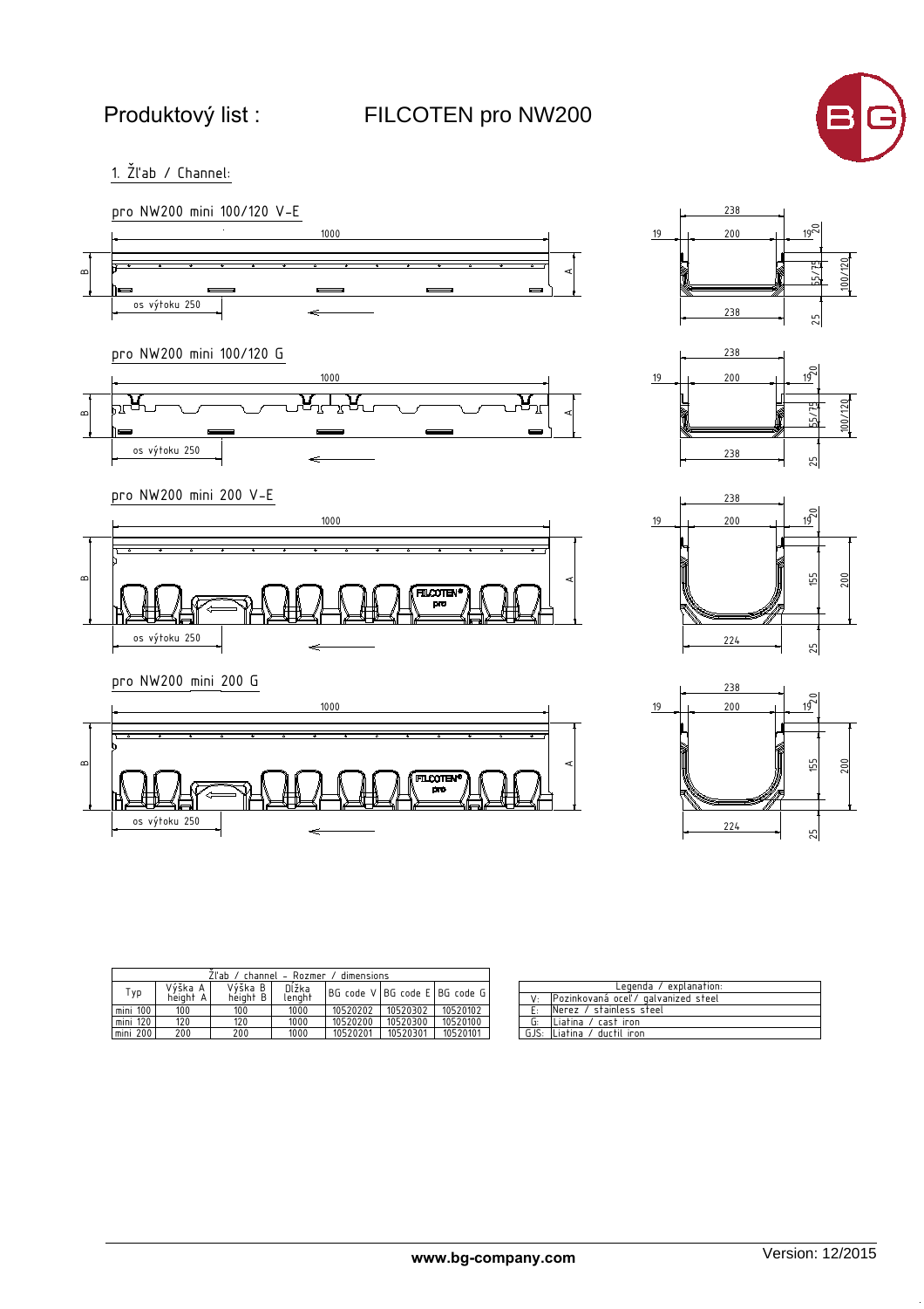

 $1.$   $\check{Z}$ l'ab / Channel:



|             |                     | Zl'ab / channel – Rozmer / dimensions |                 |          |          |                                   |
|-------------|---------------------|---------------------------------------|-----------------|----------|----------|-----------------------------------|
| Typ         | Výška A<br>height A | Výška B<br>height B                   | Dĺžka<br>lenght |          |          | BG code V   BG code E   BG code G |
| mini 100    | 100                 | 100                                   | 1000            | 10520202 | 10520302 | 10520102                          |
| mini 120    | 120                 | 120                                   | 1000            | 10520200 | 10520300 | 10520100                          |
| Imini 200 l | 200                 | 200                                   | 1000            | 10520201 | 10520301 | 10520101                          |

|     | Legenda / explanation:             |
|-----|------------------------------------|
|     | Pozinkovaná oceľ/ galvanized steel |
| F÷. | Nerez / stainless steel            |
| G:  | Liatina / cast iron                |
|     | GJS: ILiatina / ductil iron        |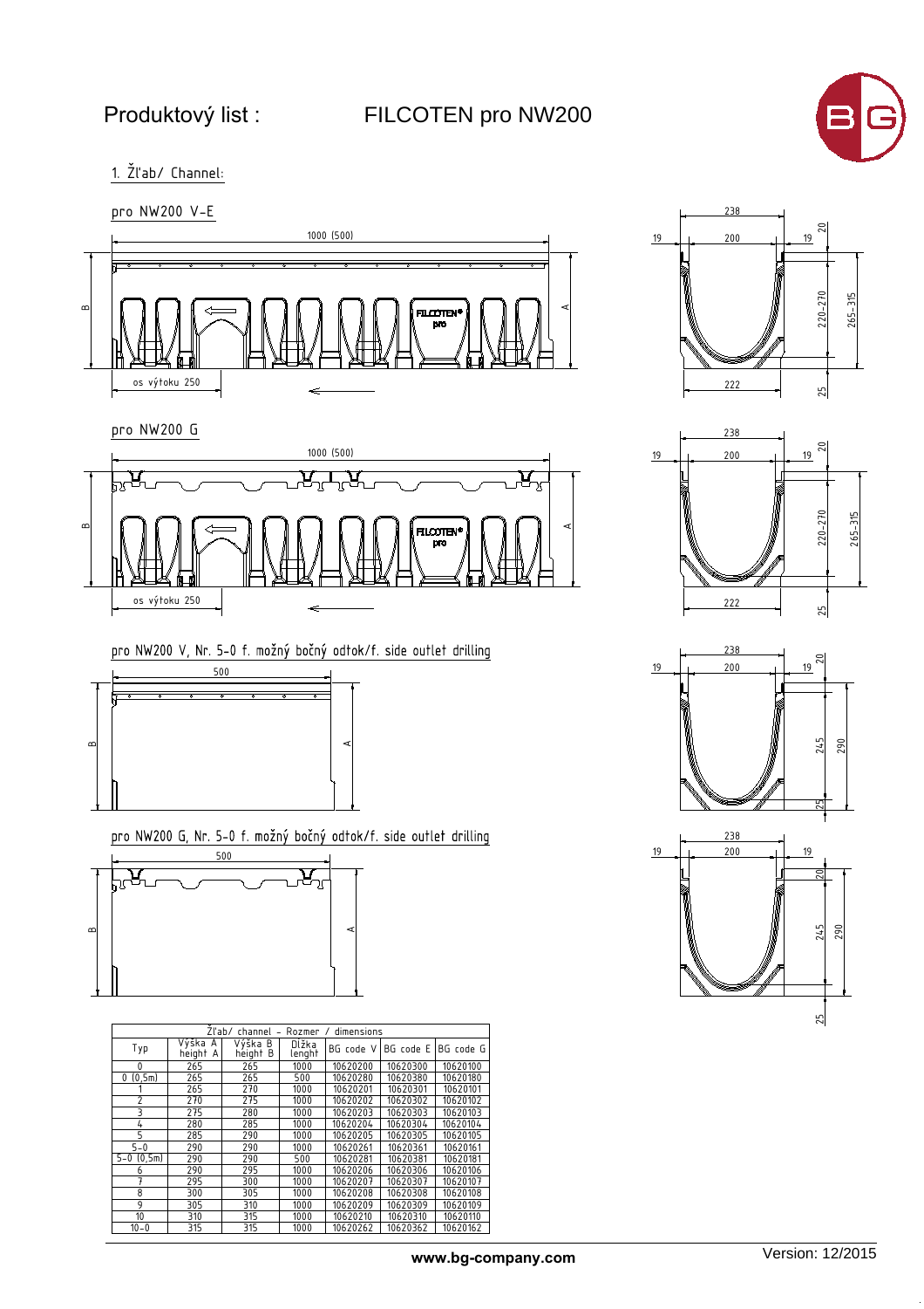

1. Žľab/ Channel:

















|                |                     | Zľab/ channel –     | Rozmer /        | dimensions |           |           |
|----------------|---------------------|---------------------|-----------------|------------|-----------|-----------|
| Typ            | Výška A<br>height A | Výška B<br>height B | Dĺžka<br>lenght | BG code V  | BG code E | BG code G |
| 0              | 265                 | 265                 | 1000            | 10620200   | 10620300  | 10620100  |
| 0(0.5m)        | 265                 | 265                 | 500             | 10620280   | 10620380  | 10620180  |
|                | 265                 | 270                 | 1000            | 10620201   | 10620301  | 10620101  |
| $\overline{c}$ | 270                 | 275                 | 1000            | 10620202   | 10620302  | 10620102  |
| 3              | 275                 | 280                 | 1000            | 10620203   | 10620303  | 10620103  |
| 4              | 280                 | 285                 | 1000            | 10620204   | 10620304  | 10620104  |
| 5              | 285                 | 290                 | 1000            | 10620205   | 10620305  | 10620105  |
| $5 - 0$        | 290                 | 290                 | 1000            | 10620261   | 10620361  | 10620161  |
| $5-0(0,5m)$    | 290                 | 290                 | 500             | 10620281   | 10620381  | 10620181  |
| h              | 290                 | 295                 | 1000            | 10620206   | 10620306  | 10620106  |
|                | 295                 | 300                 | 1000            | 10620207   | 10620307  | 10620107  |
| 8              | 300                 | 305                 | 1000            | 10620208   | 10620308  | 10620108  |
| 9              | 305                 | 310                 | 1000            | 10620209   | 10620309  | 10620109  |
| 10             | 310                 | 315                 | 1000            | 10620210   | 10620310  | 10620110  |
| $10 - 0$       | 315                 | 315                 | 1000            | 10620262   | 10620362  | 10620162  |

**www.bg-company.com**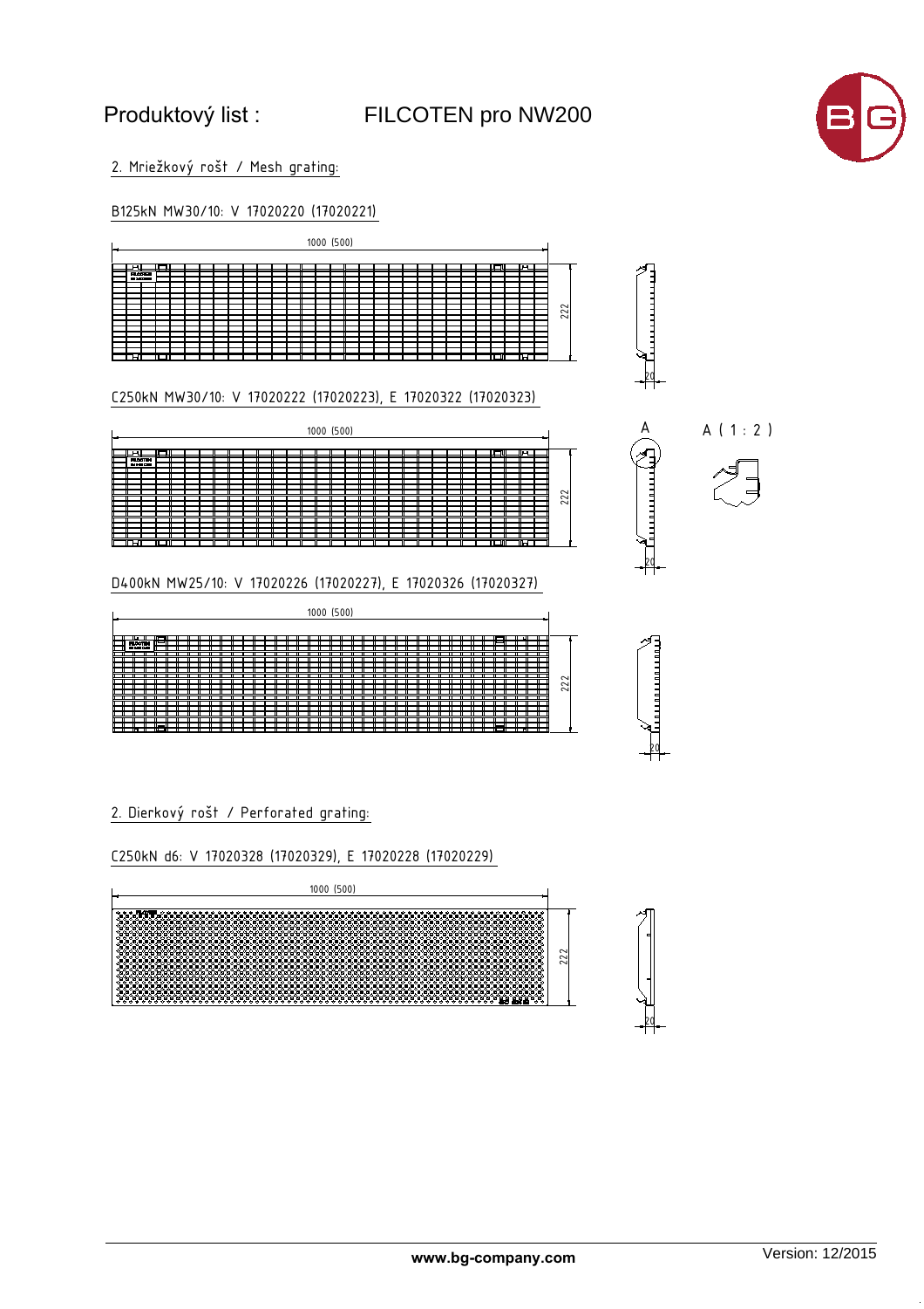

2. Mriežkový rošt / Mesh grating:

### B125kN MW30/10: V 17020220 (17020221)

|   |                     |      |  |  |  |  |  | 1000 (500) |  |  |  |  |     |       |                   |   |     |  |
|---|---------------------|------|--|--|--|--|--|------------|--|--|--|--|-----|-------|-------------------|---|-----|--|
|   |                     |      |  |  |  |  |  |            |  |  |  |  |     |       |                   |   |     |  |
|   | <b>FILCOTEN</b>     |      |  |  |  |  |  |            |  |  |  |  |     | н — ч |                   | Ē |     |  |
|   | <b>EN 1400 BL25</b> |      |  |  |  |  |  |            |  |  |  |  |     |       |                   |   |     |  |
|   |                     |      |  |  |  |  |  |            |  |  |  |  |     |       |                   |   |     |  |
|   |                     |      |  |  |  |  |  |            |  |  |  |  |     |       |                   |   |     |  |
|   |                     |      |  |  |  |  |  |            |  |  |  |  |     |       |                   |   |     |  |
|   |                     |      |  |  |  |  |  |            |  |  |  |  |     |       |                   |   | 222 |  |
|   |                     |      |  |  |  |  |  |            |  |  |  |  |     |       |                   |   |     |  |
|   |                     |      |  |  |  |  |  |            |  |  |  |  |     |       |                   |   |     |  |
|   |                     |      |  |  |  |  |  |            |  |  |  |  |     |       |                   |   |     |  |
|   |                     |      |  |  |  |  |  |            |  |  |  |  |     |       |                   |   |     |  |
|   |                     |      |  |  |  |  |  |            |  |  |  |  |     |       |                   |   |     |  |
| ═ | ⊢∟                  | ═┱╤╦ |  |  |  |  |  |            |  |  |  |  | ___ |       | _________________ |   |     |  |

C250kN MW30/10: V 17020222 (17020223), E 17020322 (17020323)



D400kN MW25/10: V 17020226 (17020227), E 17020326 (17020327)

|  |                        |   |  |  |  |  |  |  |  |  |  | 1000 (500) |  |  |  |  |  |  |  |  |      |                   |                  |   |  |
|--|------------------------|---|--|--|--|--|--|--|--|--|--|------------|--|--|--|--|--|--|--|--|------|-------------------|------------------|---|--|
|  | . .<br><b>FILOOTEN</b> | ▭ |  |  |  |  |  |  |  |  |  |            |  |  |  |  |  |  |  |  | - 11 | ┳                 |                  |   |  |
|  | EN 1499 D 000          |   |  |  |  |  |  |  |  |  |  |            |  |  |  |  |  |  |  |  |      |                   |                  |   |  |
|  |                        |   |  |  |  |  |  |  |  |  |  |            |  |  |  |  |  |  |  |  |      |                   |                  |   |  |
|  |                        |   |  |  |  |  |  |  |  |  |  |            |  |  |  |  |  |  |  |  |      |                   |                  |   |  |
|  |                        |   |  |  |  |  |  |  |  |  |  |            |  |  |  |  |  |  |  |  |      |                   |                  |   |  |
|  |                        |   |  |  |  |  |  |  |  |  |  |            |  |  |  |  |  |  |  |  |      |                   | $\sim$           |   |  |
|  |                        |   |  |  |  |  |  |  |  |  |  |            |  |  |  |  |  |  |  |  |      |                   | $\sim$<br>$\sim$ |   |  |
|  |                        |   |  |  |  |  |  |  |  |  |  |            |  |  |  |  |  |  |  |  |      | π                 |                  |   |  |
|  |                        |   |  |  |  |  |  |  |  |  |  |            |  |  |  |  |  |  |  |  |      |                   |                  |   |  |
|  |                        |   |  |  |  |  |  |  |  |  |  |            |  |  |  |  |  |  |  |  |      |                   |                  |   |  |
|  |                        |   |  |  |  |  |  |  |  |  |  |            |  |  |  |  |  |  |  |  |      |                   |                  |   |  |
|  |                        |   |  |  |  |  |  |  |  |  |  |            |  |  |  |  |  |  |  |  |      | π                 |                  |   |  |
|  | ਸਰ ਸ                   |   |  |  |  |  |  |  |  |  |  |            |  |  |  |  |  |  |  |  |      | <del>ा लगा।</del> |                  | - |  |

### 2. Dierkový rošt / Perforated grating:

C250kN d6: V 17020328 (17020329), E 17020228 (17020229)





20

20

20

20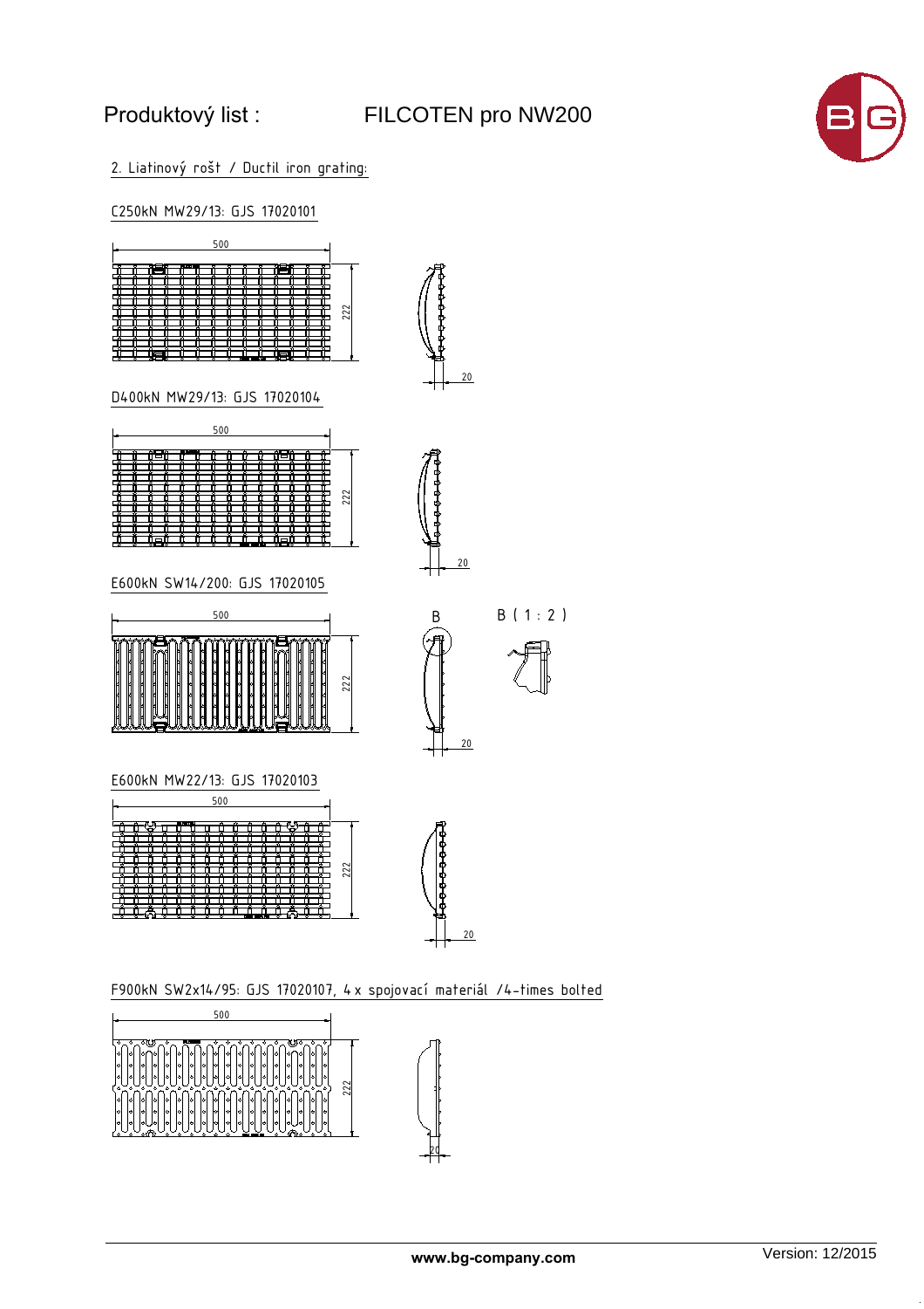# Produktový list : FILCOTEN pro NW200



#### 2. Liatinový rošt / Ductil iron grating:

#### C250kN MW29/13: GJS 17020101



D400kN MW29/13: GJS 17020104



E600kN SW14/200: GJS 17020105



E600kN MW22/13: GJS 17020103





20

 $20$ 

B

 $B(1:2)$ 

F900kN SW2x14/95: GJS 17020107, 4 x spojovací materiál /4-times bolted